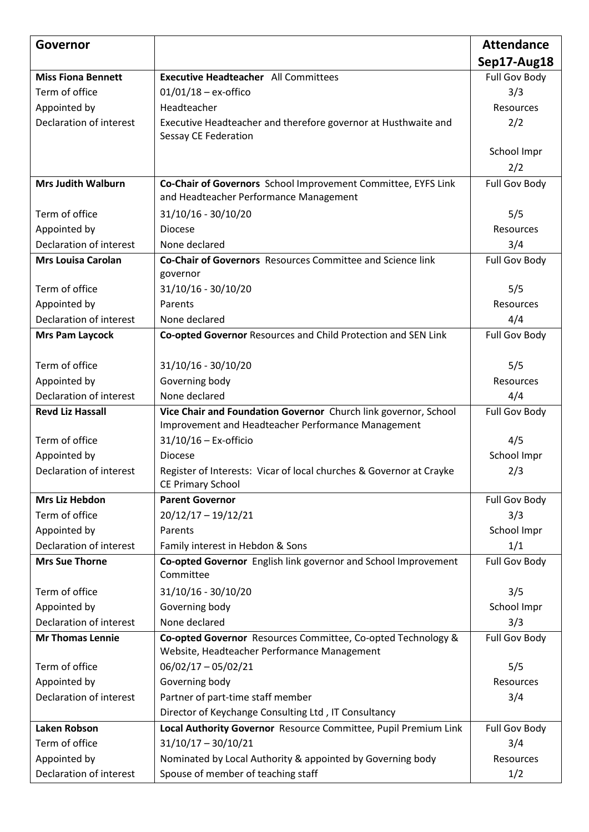| Governor                       |                                                                                                                       | <b>Attendance</b> |
|--------------------------------|-----------------------------------------------------------------------------------------------------------------------|-------------------|
|                                |                                                                                                                       | Sep17-Aug18       |
| <b>Miss Fiona Bennett</b>      | <b>Executive Headteacher</b> All Committees                                                                           | Full Gov Body     |
| Term of office                 | $01/01/18 - ex\text{-offico}$                                                                                         | 3/3               |
| Appointed by                   | Headteacher                                                                                                           | Resources         |
| Declaration of interest        | Executive Headteacher and therefore governor at Husthwaite and<br>Sessay CE Federation                                | 2/2               |
|                                |                                                                                                                       | School Impr       |
|                                |                                                                                                                       | 2/2               |
| <b>Mrs Judith Walburn</b>      | Co-Chair of Governors School Improvement Committee, EYFS Link                                                         | Full Gov Body     |
|                                | and Headteacher Performance Management                                                                                |                   |
| Term of office                 | 31/10/16 - 30/10/20                                                                                                   | 5/5               |
| Appointed by                   | <b>Diocese</b>                                                                                                        | Resources         |
| <b>Declaration of interest</b> | None declared                                                                                                         | 3/4               |
| <b>Mrs Louisa Carolan</b>      | Co-Chair of Governors Resources Committee and Science link<br>governor                                                | Full Gov Body     |
| Term of office                 | 31/10/16 - 30/10/20                                                                                                   | 5/5               |
| Appointed by                   | Parents                                                                                                               | Resources         |
| Declaration of interest        | None declared                                                                                                         | 4/4               |
| <b>Mrs Pam Laycock</b>         | Co-opted Governor Resources and Child Protection and SEN Link                                                         | Full Gov Body     |
|                                |                                                                                                                       |                   |
| Term of office                 | 31/10/16 - 30/10/20                                                                                                   | 5/5               |
| Appointed by                   | Governing body                                                                                                        | Resources         |
| Declaration of interest        | None declared                                                                                                         | 4/4               |
| <b>Revd Liz Hassall</b>        | Vice Chair and Foundation Governor Church link governor, School<br>Improvement and Headteacher Performance Management | Full Gov Body     |
| Term of office                 | $31/10/16$ - Ex-officio                                                                                               | 4/5               |
| Appointed by                   | <b>Diocese</b>                                                                                                        | School Impr       |
| Declaration of interest        | Register of Interests: Vicar of local churches & Governor at Crayke<br><b>CE Primary School</b>                       | 2/3               |
| <b>Mrs Liz Hebdon</b>          | <b>Parent Governor</b>                                                                                                | Full Gov Body     |
| Term of office                 | $20/12/17 - 19/12/21$                                                                                                 | 3/3               |
| Appointed by                   | Parents                                                                                                               | School Impr       |
| Declaration of interest        | Family interest in Hebdon & Sons                                                                                      | 1/1               |
| <b>Mrs Sue Thorne</b>          | Co-opted Governor English link governor and School Improvement<br>Committee                                           | Full Gov Body     |
| Term of office                 | 31/10/16 - 30/10/20                                                                                                   | 3/5               |
| Appointed by                   | Governing body                                                                                                        | School Impr       |
| Declaration of interest        | None declared                                                                                                         | 3/3               |
| <b>Mr Thomas Lennie</b>        | Co-opted Governor Resources Committee, Co-opted Technology &                                                          | Full Gov Body     |
|                                | Website, Headteacher Performance Management                                                                           |                   |
| Term of office                 | $06/02/17 - 05/02/21$                                                                                                 | 5/5               |
| Appointed by                   | Governing body                                                                                                        | Resources         |
| Declaration of interest        | Partner of part-time staff member                                                                                     | 3/4               |
|                                | Director of Keychange Consulting Ltd, IT Consultancy                                                                  |                   |
| <b>Laken Robson</b>            | Local Authority Governor Resource Committee, Pupil Premium Link                                                       | Full Gov Body     |
| Term of office                 | $31/10/17 - 30/10/21$                                                                                                 | 3/4               |
| Appointed by                   | Nominated by Local Authority & appointed by Governing body                                                            | Resources         |
| Declaration of interest        | Spouse of member of teaching staff                                                                                    | 1/2               |